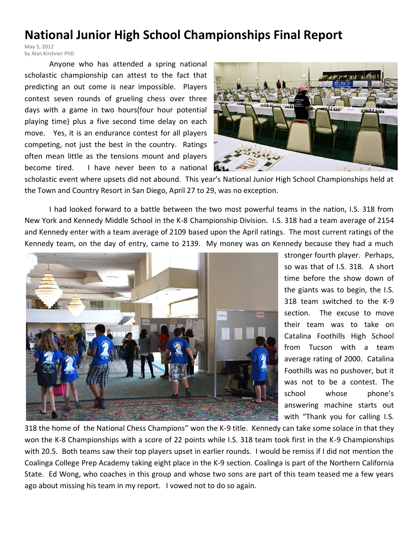## **National Junior High School Championships Final Report**

May 5, 2012 by Alan Kirshner PhD

Anyone who has attended a spring national scholastic championship can attest to the fact that predicting an out come is near impossible. Players contest seven rounds of grueling chess over three days with a game in two hours(four hour potential playing time) plus a five second time delay on each move. Yes, it is an endurance contest for all players competing, not just the best in the country. Ratings often mean little as the tensions mount and players become tired. I have never been to a national



scholastic event where upsets did not abound. This year's National Junior High School Championships held at the Town and Country Resort in San Diego, April 27 to 29, was no exception.

I had looked forward to a battle between the two most powerful teams in the nation, I.S. 318 from New York and Kennedy Middle School in the K-8 Championship Division. I.S. 318 had a team average of 2154 and Kennedy enter with a team average of 2109 based upon the April ratings. The most current ratings of the Kennedy team, on the day of entry, came to 2139. My money was on Kennedy because they had a much



stronger fourth player. Perhaps, so was that of I.S. 318. A short time before the show down of the giants was to begin, the I.S. 318 team switched to the K-9 section. The excuse to move their team was to take on Catalina Foothills High School from Tucson with a team average rating of 2000. Catalina Foothills was no pushover, but it was not to be a contest. The school whose phone's answering machine starts out with "Thank you for calling I.S.

318 the home of the National Chess Champions" won the K-9 title. Kennedy can take some solace in that they won the K-8 Championships with a score of 22 points while I.S. 318 team took first in the K-9 Championships with 20.5. Both teams saw their top players upset in earlier rounds. I would be remiss if I did not mention the Coalinga College Prep Academy taking eight place in the K-9 section. Coalinga is part of the Northern California State. Ed Wong, who coaches in this group and whose two sons are part of this team teased me a few years ago about missing his team in my report. I vowed not to do so again.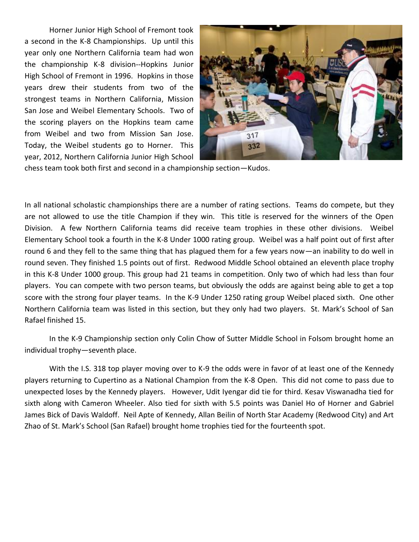Horner Junior High School of Fremont took a second in the K-8 Championships. Up until this year only one Northern California team had won the championship K-8 division--Hopkins Junior High School of Fremont in 1996. Hopkins in those years drew their students from two of the strongest teams in Northern California, Mission San Jose and Weibel Elementary Schools. Two of the scoring players on the Hopkins team came from Weibel and two from Mission San Jose. Today, the Weibel students go to Horner. This year, 2012, Northern California Junior High School



chess team took both first and second in a championship section—Kudos.

In all national scholastic championships there are a number of rating sections. Teams do compete, but they are not allowed to use the title Champion if they win. This title is reserved for the winners of the Open Division. A few Northern California teams did receive team trophies in these other divisions. Weibel Elementary School took a fourth in the K-8 Under 1000 rating group. Weibel was a half point out of first after round 6 and they fell to the same thing that has plagued them for a few years now—an inability to do well in round seven. They finished 1.5 points out of first. Redwood Middle School obtained an eleventh place trophy in this K-8 Under 1000 group. This group had 21 teams in competition. Only two of which had less than four players. You can compete with two person teams, but obviously the odds are against being able to get a top score with the strong four player teams. In the K-9 Under 1250 rating group Weibel placed sixth. One other Northern California team was listed in this section, but they only had two players. St. Mark's School of San Rafael finished 15.

In the K-9 Championship section only Colin Chow of Sutter Middle School in Folsom brought home an individual trophy—seventh place.

With the I.S. 318 top player moving over to K-9 the odds were in favor of at least one of the Kennedy players returning to Cupertino as a National Champion from the K-8 Open. This did not come to pass due to unexpected loses by the Kennedy players. However, Udit Iyengar did tie for third. Kesav Viswanadha tied for sixth along with Cameron Wheeler. Also tied for sixth with 5.5 points was Daniel Ho of Horner and Gabriel James Bick of Davis Waldoff. Neil Apte of Kennedy, Allan Beilin of North Star Academy (Redwood City) and Art Zhao of St. Mark's School (San Rafael) brought home trophies tied for the fourteenth spot.